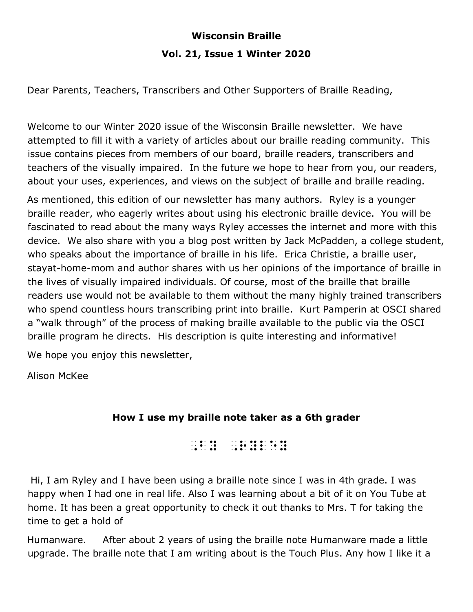# **Wisconsin Braille Vol. 21, Issue 1 Winter 2020**

Dear Parents, Teachers, Transcribers and Other Supporters of Braille Reading,

Welcome to our Winter 2020 issue of the Wisconsin Braille newsletter. We have attempted to fill it with a variety of articles about our braille reading community. This issue contains pieces from members of our board, braille readers, transcribers and teachers of the visually impaired. In the future we hope to hear from you, our readers, about your uses, experiences, and views on the subject of braille and braille reading.

As mentioned, this edition of our newsletter has many authors. Ryley is a younger braille reader, who eagerly writes about using his electronic braille device. You will be fascinated to read about the many ways Ryley accesses the internet and more with this device. We also share with you a blog post written by Jack McPadden, a college student, who speaks about the importance of braille in his life. Erica Christie, a braille user, stayat-home-mom and author shares with us her opinions of the importance of braille in the lives of visually impaired individuals. Of course, most of the braille that braille readers use would not be available to them without the many highly trained transcribers who spend countless hours transcribing print into braille. Kurt Pamperin at OSCI shared a "walk through" of the process of making braille available to the public via the OSCI braille program he directs. His description is quite interesting and informative!

We hope you enjoy this newsletter,

Alison McKee

# **How I use my braille note taker as a 6th grader**

 $\frac{1}{2}$ ,  $\frac{1}{2}$ ,  $\frac{1}{2}$ ,  $\frac{1}{2}$ ,  $\frac{1}{2}$ ,  $\frac{1}{2}$ ,  $\frac{1}{2}$ ,  $\frac{1}{2}$ ,  $\frac{1}{2}$ ,  $\frac{1}{2}$ ,  $\frac{1}{2}$ ,  $\frac{1}{2}$ ,  $\frac{1}{2}$ ,  $\frac{1}{2}$ ,  $\frac{1}{2}$ ,  $\frac{1}{2}$ ,  $\frac{1}{2}$ ,  $\frac{1}{2}$ ,  $\frac{1}{2}$ ,  $\frac{1}{2}$ ,

 Hi, I am Ryley and I have been using a braille note since I was in 4th grade. I was happy when I had one in real life. Also I was learning about a bit of it on You Tube at home. It has been a great opportunity to check it out thanks to Mrs. T for taking the time to get a hold of

Humanware. After about 2 years of using the braille note Humanware made a little upgrade. The braille note that I am writing about is the Touch Plus. Any how I like it a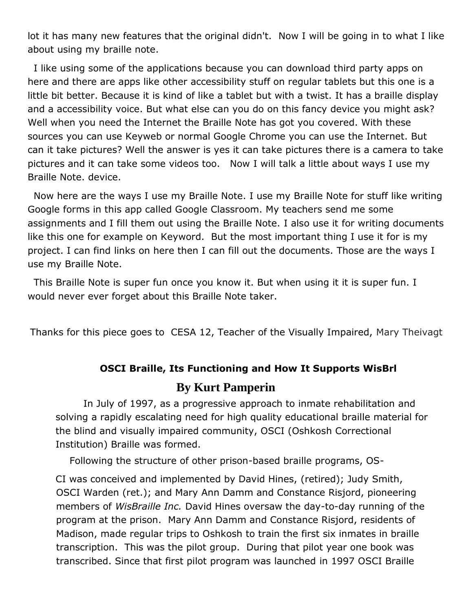lot it has many new features that the original didn't. Now I will be going in to what I like about using my braille note.

 I like using some of the applications because you can download third party apps on here and there are apps like other accessibility stuff on regular tablets but this one is a little bit better. Because it is kind of like a tablet but with a twist. It has a braille display and a accessibility voice. But what else can you do on this fancy device you might ask? Well when you need the Internet the Braille Note has got you covered. With these sources you can use Keyweb or normal Google Chrome you can use the Internet. But can it take pictures? Well the answer is yes it can take pictures there is a camera to take pictures and it can take some videos too. Now I will talk a little about ways I use my Braille Note. device.

 Now here are the ways I use my Braille Note. I use my Braille Note for stuff like writing Google forms in this app called Google Classroom. My teachers send me some assignments and I fill them out using the Braille Note. I also use it for writing documents like this one for example on Keyword. But the most important thing I use it for is my project. I can find links on here then I can fill out the documents. Those are the ways I use my Braille Note.

 This Braille Note is super fun once you know it. But when using it it is super fun. I would never ever forget about this Braille Note taker.

Thanks for this piece goes to CESA 12, Teacher of the Visually Impaired, Mary Theivagt

## **OSCI Braille, Its Functioning and How It Supports WisBrl**

## **By Kurt Pamperin**

In July of 1997, as a progressive approach to inmate rehabilitation and solving a rapidly escalating need for high quality educational braille material for the blind and visually impaired community, OSCI (Oshkosh Correctional Institution) Braille was formed.

Following the structure of other prison-based braille programs, OS-

CI was conceived and implemented by David Hines, (retired); Judy Smith, OSCI Warden (ret.); and Mary Ann Damm and Constance Risjord, pioneering members of *WisBraille Inc.* David Hines oversaw the day-to-day running of the program at the prison. Mary Ann Damm and Constance Risjord, residents of Madison, made regular trips to Oshkosh to train the first six inmates in braille transcription. This was the pilot group. During that pilot year one book was transcribed. Since that first pilot program was launched in 1997 OSCI Braille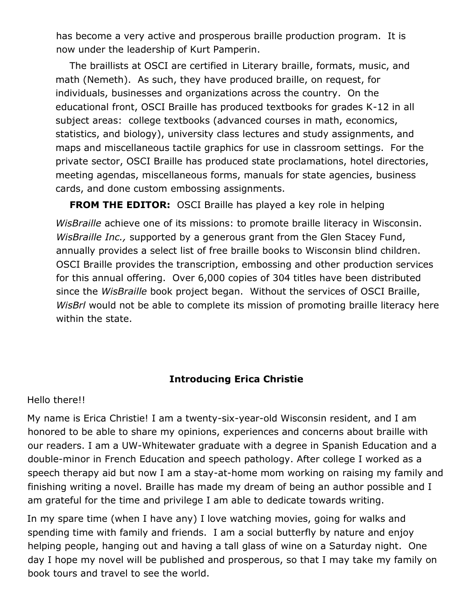has become a very active and prosperous braille production program. It is now under the leadership of Kurt Pamperin.

The braillists at OSCI are certified in Literary braille, formats, music, and math (Nemeth). As such, they have produced braille, on request, for individuals, businesses and organizations across the country. On the educational front, OSCI Braille has produced textbooks for grades K-12 in all subject areas: college textbooks (advanced courses in math, economics, statistics, and biology), university class lectures and study assignments, and maps and miscellaneous tactile graphics for use in classroom settings. For the private sector, OSCI Braille has produced state proclamations, hotel directories, meeting agendas, miscellaneous forms, manuals for state agencies, business cards, and done custom embossing assignments.

**FROM THE EDITOR:** OSCI Braille has played a key role in helping *WisBraille* achieve one of its missions: to promote braille literacy in Wisconsin. *WisBraille Inc.,* supported by a generous grant from the Glen Stacey Fund, annually provides a select list of free braille books to Wisconsin blind children. OSCI Braille provides the transcription, embossing and other production services for this annual offering. Over 6,000 copies of 304 titles have been distributed since the *WisBraille* book project began. Without the services of OSCI Braille, *WisBrl* would not be able to complete its mission of promoting braille literacy here within the state.

# **Introducing Erica Christie**

Hello there!!

My name is Erica Christie! I am a twenty-six-year-old Wisconsin resident, and I am honored to be able to share my opinions, experiences and concerns about braille with our readers. I am a UW-Whitewater graduate with a degree in Spanish Education and a double-minor in French Education and speech pathology. After college I worked as a speech therapy aid but now I am a stay-at-home mom working on raising my family and finishing writing a novel. Braille has made my dream of being an author possible and I am grateful for the time and privilege I am able to dedicate towards writing.

In my spare time (when I have any) I love watching movies, going for walks and spending time with family and friends. I am a social butterfly by nature and enjoy helping people, hanging out and having a tall glass of wine on a Saturday night. One day I hope my novel will be published and prosperous, so that I may take my family on book tours and travel to see the world.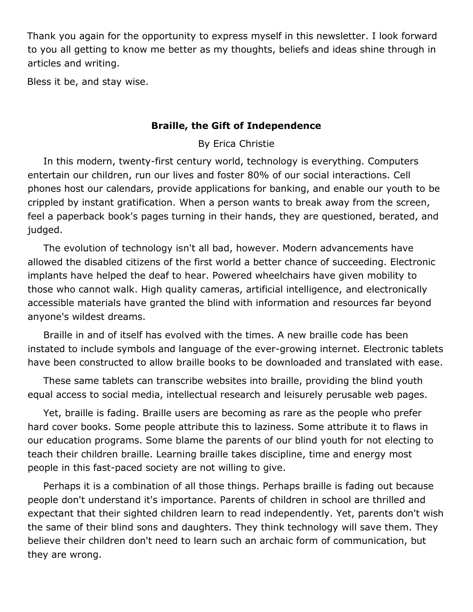Thank you again for the opportunity to express myself in this newsletter. I look forward to you all getting to know me better as my thoughts, beliefs and ideas shine through in articles and writing.

Bless it be, and stay wise.

## **Braille, the Gift of Independence**

By Erica Christie

 In this modern, twenty-first century world, technology is everything. Computers entertain our children, run our lives and foster 80% of our social interactions. Cell phones host our calendars, provide applications for banking, and enable our youth to be crippled by instant gratification. When a person wants to break away from the screen, feel a paperback book's pages turning in their hands, they are questioned, berated, and judged.

 The evolution of technology isn't all bad, however. Modern advancements have allowed the disabled citizens of the first world a better chance of succeeding. Electronic implants have helped the deaf to hear. Powered wheelchairs have given mobility to those who cannot walk. High quality cameras, artificial intelligence, and electronically accessible materials have granted the blind with information and resources far beyond anyone's wildest dreams.

 Braille in and of itself has evolved with the times. A new braille code has been instated to include symbols and language of the ever-growing internet. Electronic tablets have been constructed to allow braille books to be downloaded and translated with ease.

 These same tablets can transcribe websites into braille, providing the blind youth equal access to social media, intellectual research and leisurely perusable web pages.

 Yet, braille is fading. Braille users are becoming as rare as the people who prefer hard cover books. Some people attribute this to laziness. Some attribute it to flaws in our education programs. Some blame the parents of our blind youth for not electing to teach their children braille. Learning braille takes discipline, time and energy most people in this fast-paced society are not willing to give.

 Perhaps it is a combination of all those things. Perhaps braille is fading out because people don't understand it's importance. Parents of children in school are thrilled and expectant that their sighted children learn to read independently. Yet, parents don't wish the same of their blind sons and daughters. They think technology will save them. They believe their children don't need to learn such an archaic form of communication, but they are wrong.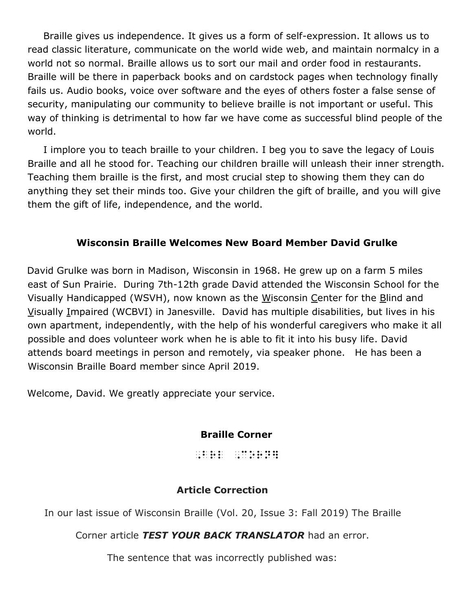Braille gives us independence. It gives us a form of self-expression. It allows us to read classic literature, communicate on the world wide web, and maintain normalcy in a world not so normal. Braille allows us to sort our mail and order food in restaurants. Braille will be there in paperback books and on cardstock pages when technology finally fails us. Audio books, voice over software and the eyes of others foster a false sense of security, manipulating our community to believe braille is not important or useful. This way of thinking is detrimental to how far we have come as successful blind people of the world.

 I implore you to teach braille to your children. I beg you to save the legacy of Louis Braille and all he stood for. Teaching our children braille will unleash their inner strength. Teaching them braille is the first, and most crucial step to showing them they can do anything they set their minds too. Give your children the gift of braille, and you will give them the gift of life, independence, and the world.

## **Wisconsin Braille Welcomes New Board Member David Grulke**

David Grulke was born in Madison, Wisconsin in 1968. He grew up on a farm 5 miles east of Sun Prairie. During 7th-12th grade David attended the Wisconsin School for the Visually Handicapped (WSVH), now known as the Wisconsin Center for the Blind and Visually Impaired (WCBVI) in Janesville. David has multiple disabilities, but lives in his own apartment, independently, with the help of his wonderful caregivers who make it all possible and does volunteer work when he is able to fit it into his busy life. David attends board meetings in person and remotely, via speaker phone. He has been a Wisconsin Braille Board member since April 2019.

Welcome, David. We greatly appreciate your service.

## **Braille Corner**

,brl ,corn]

## **Article Correction**

In our last issue of Wisconsin Braille (Vol. 20, Issue 3: Fall 2019) The Braille

Corner article *TEST YOUR BACK TRANSLATOR* had an error.

The sentence that was incorrectly published was: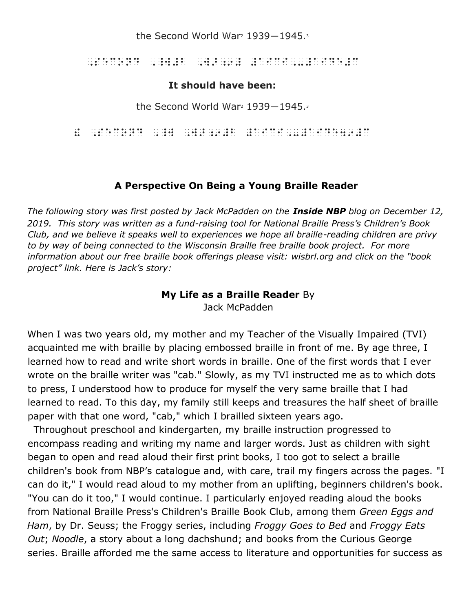the Second World War<sup>2</sup> 1939–1945.<sup>3</sup>

, second de de da da linea e al de da linea e al secondario de la da edición de de la da de la da da.<br>1993 - Al de la da da linea de da da de linea de la de de linea (m. 1995).<br>1994 - Linea de les linea de da da linea da l

## **It should have been:**

the Second World War<sup>2</sup> 1939–1945.<sup>3</sup>

! ,second ,\_W ,W>;9#B #AICI,-#AIDE49#C

## **A Perspective On Being a Young Braille Reader**

*The following story was first posted by Jack McPadden on the Inside NBP blog on December 12, 2019. This story was written as a fund-raising tool for National Braille Press's Children's Book Club, and we believe it speaks well to experiences we hope all braille-reading children are privy to by way of being connected to the Wisconsin Braille free braille book project. For more information about our free braille book offerings please visit: wisbrl.org and click on the "book project" link. Here is Jack's story:* 

#### **My Life as a Braille Reader** By Jack McPadden

When I was two years old, my mother and my Teacher of the Visually Impaired (TVI) acquainted me with braille by placing embossed braille in front of me. By age three, I learned how to read and write short words in braille. One of the first words that I ever wrote on the braille writer was "cab." Slowly, as my TVI instructed me as to which dots to press, I understood how to produce for myself the very same braille that I had learned to read. To this day, my family still keeps and treasures the half sheet of braille paper with that one word, "cab," which I brailled sixteen years ago.

 Throughout preschool and kindergarten, my braille instruction progressed to encompass reading and writing my name and larger words. Just as children with sight began to open and read aloud their first print books, I too got to select a braille children's book from NBP's catalogue and, with care, trail my fingers across the pages. "I can do it," I would read aloud to my mother from an uplifting, beginners children's book. "You can do it too," I would continue. I particularly enjoyed reading aloud the books from National Braille Press's Children's Braille Book Club, among them *Green Eggs and Ham*, by Dr. Seuss; the Froggy series, including *Froggy Goes to Bed* and *Froggy Eats Out*; *Noodle*, a story about a long dachshund; and books from the Curious George series. Braille afforded me the same access to literature and opportunities for success as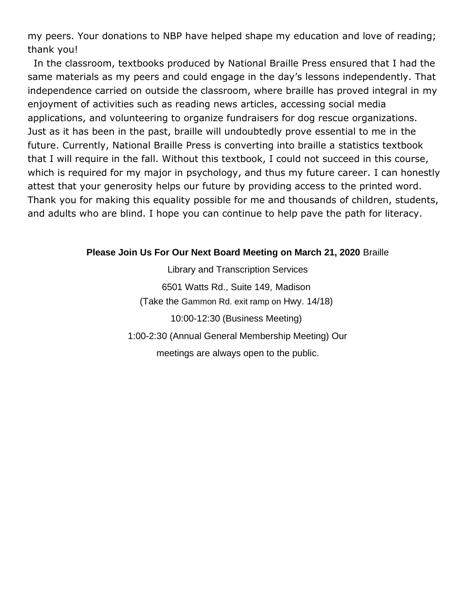my peers. Your donations to NBP have helped shape my education and love of reading; thank you!

 In the classroom, textbooks produced by National Braille Press ensured that I had the same materials as my peers and could engage in the day's lessons independently. That independence carried on outside the classroom, where braille has proved integral in my enjoyment of activities such as reading news articles, accessing social media applications, and volunteering to organize fundraisers for dog rescue organizations. Just as it has been in the past, braille will undoubtedly prove essential to me in the future. Currently, National Braille Press is converting into braille a statistics textbook that I will require in the fall. Without this textbook, I could not succeed in this course, which is required for my major in psychology, and thus my future career. I can honestly attest that your generosity helps our future by providing access to the printed word. Thank you for making this equality possible for me and thousands of children, students, and adults who are blind. I hope you can continue to help pave the path for literacy.

#### **Please Join Us For Our Next Board Meeting on March 21, 2020** Braille

Library and Transcription Services 6501 Watts Rd., Suite 149, Madison (Take the Gammon Rd. exit ramp on Hwy. 14/18) 10:00-12:30 (Business Meeting) 1:00-2:30 (Annual General Membership Meeting) Our meetings are always open to the public.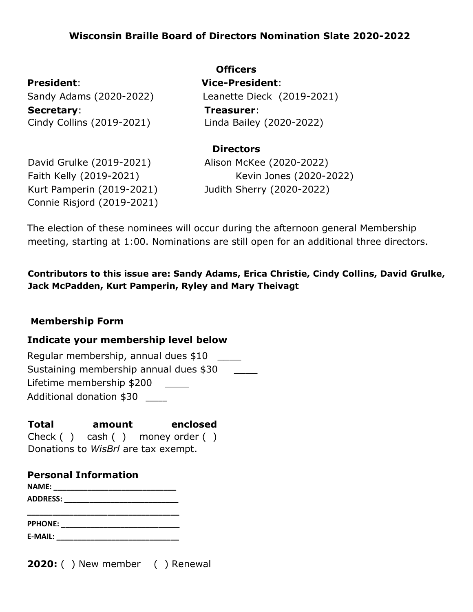# **Wisconsin Braille Board of Directors Nomination Slate 2020-2022**

**Secretary**: **Treasurer**: Cindy Collins (2019-2021)

**Officers President**: **Vice-President**: Sandy Adams (2020-2022) Leanette Dieck (2019-2021) Linda Bailey (2020-2022)

#### **Directors**

Kurt Pamperin (2019-2021) Judith Sherry (2020-2022) Connie Risjord (2019-2021)

David Grulke (2019-2021) Alison McKee (2020-2022) Faith Kelly (2019-2021) Kevin Jones (2020-2022)

The election of these nominees will occur during the afternoon general Membership meeting, starting at 1:00. Nominations are still open for an additional three directors.

**Contributors to this issue are: Sandy Adams, Erica Christie, Cindy Collins, David Grulke, Jack McPadden, Kurt Pamperin, Ryley and Mary Theivagt** 

#### **Membership Form**

#### **Indicate your membership level below**

Regular membership, annual dues \$10 \_\_\_\_ Sustaining membership annual dues \$30 Lifetime membership \$200 \_\_\_\_\_ Additional donation \$30 \_\_\_\_

#### **Total amount enclosed**

Check ( ) cash ( ) money order ( ) Donations to *WisBrl* are tax exempt.

# **Personal Information**

**NAME: \_\_\_\_\_\_\_\_\_\_\_\_\_\_\_\_\_\_\_\_\_\_\_\_\_\_\_\_\_ ADDRESS: \_\_\_\_\_\_\_\_\_\_\_\_\_\_\_\_\_\_\_\_\_\_\_\_\_\_\_** 

**\_\_\_\_\_\_\_\_\_\_\_\_\_\_\_\_\_\_\_\_\_\_\_\_\_\_\_\_\_\_\_\_\_\_\_\_ PPHONE: \_\_\_\_\_\_\_\_\_\_\_\_\_\_\_\_\_\_\_\_\_\_\_\_\_\_\_\_ E-MAIL: \_\_\_\_\_\_\_\_\_\_\_\_\_\_\_\_\_\_\_\_\_\_\_\_\_\_\_\_\_** 

**2020:** ( ) New member ( ) Renewal